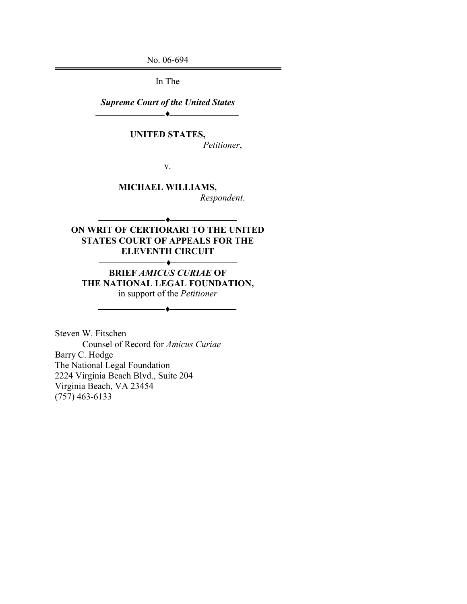No. 06-694

In The

Supreme Court of the United States ♦

UNITED STATES,

Petitioner,

v.

MICHAEL WILLIAMS, Respondent.

### ON WRIT OF CERTIORARI TO THE UNITED STATES COURT OF APPEALS FOR THE ELEVENTH CIRCUIT

BRIEF AMICUS CURIAE OF THE NATIONAL LEGAL FOUNDATION, in support of the Petitioner

♦

♦

Steven W. Fitschen Counsel of Record for Amicus Curiae Barry C. Hodge The National Legal Foundation 2224 Virginia Beach Blvd., Suite 204 Virginia Beach, VA 23454 (757) 463-6133

 $\overline{\phantom{a}}$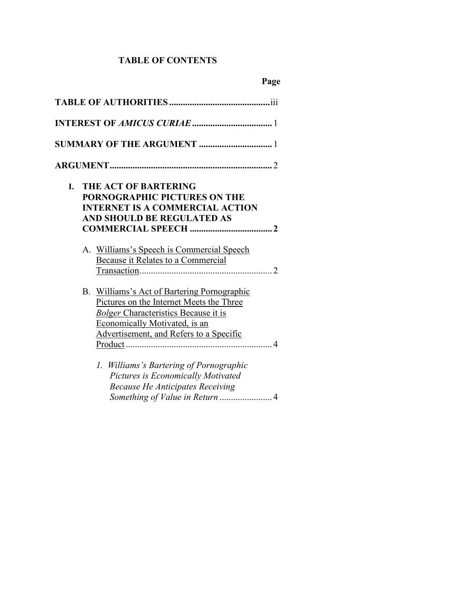# TABLE OF CONTENTS

|    | <b>SUMMARY OF THE ARGUMENT </b> 1                                                                                                                                                                                  |
|----|--------------------------------------------------------------------------------------------------------------------------------------------------------------------------------------------------------------------|
|    |                                                                                                                                                                                                                    |
| I. | <b>THE ACT OF BARTERING</b><br>PORNOGRAPHIC PICTURES ON THE<br><b>INTERNET IS A COMMERCIAL ACTION</b><br>AND SHOULD BE REGULATED AS                                                                                |
|    | A. Williams's Speech is Commercial Speech<br>Because it Relates to a Commercial                                                                                                                                    |
|    | B. Williams's Act of Bartering Pornographic<br>Pictures on the Internet Meets the Three<br><b>Bolger Characteristics Because it is</b><br>Economically Motivated, is an<br>Advertisement, and Refers to a Specific |
|    | 1. Williams's Bartering of Pornographic<br>Pictures is Economically Motivated<br><b>Because He Anticipates Receiving</b>                                                                                           |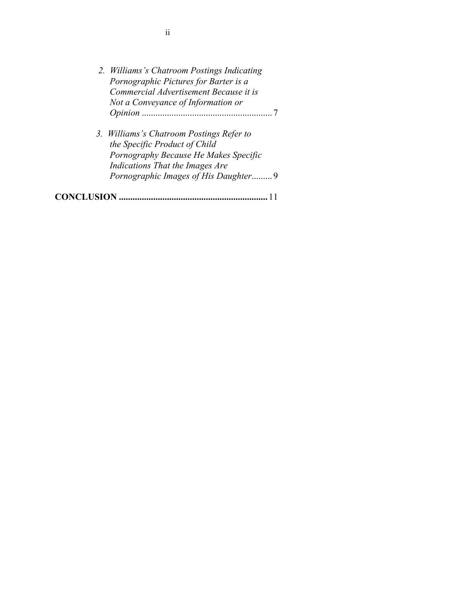| 2. Williams's Chatroom Postings Indicating<br>Pornographic Pictures for Barter is a<br>Commercial Advertisement Because it is<br>Not a Conveyance of Information or                           |
|-----------------------------------------------------------------------------------------------------------------------------------------------------------------------------------------------|
| 3. Williams's Chatroom Postings Refer to<br>the Specific Product of Child<br>Pornography Because He Makes Specific<br>Indications That the Images Are<br>Pornographic Images of His Daughter9 |
|                                                                                                                                                                                               |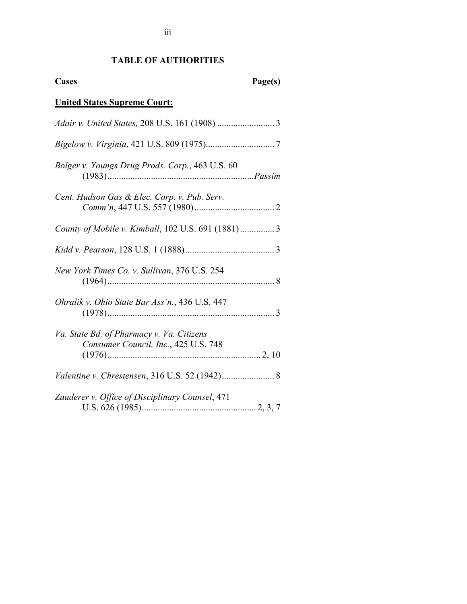# TABLE OF AUTHORITIES

Cases Page(s)

| <b>United States Supreme Court:</b>                                               |
|-----------------------------------------------------------------------------------|
|                                                                                   |
|                                                                                   |
| Bolger v. Youngs Drug Prods. Corp., 463 U.S. 60                                   |
| Cent. Hudson Gas & Elec. Corp. v. Pub. Serv.                                      |
| County of Mobile v. Kimball, 102 U.S. 691 (1881) 3                                |
|                                                                                   |
| New York Times Co. v. Sullivan, 376 U.S. 254                                      |
| Ohralik v. Ohio State Bar Ass'n., 436 U.S. 447                                    |
| Va. State Bd. of Pharmacy v. Va. Citizens<br>Consumer Council, Inc., 425 U.S. 748 |
| Valentine v. Chrestensen, 316 U.S. 52 (1942) 8                                    |
| Zauderer v. Office of Disciplinary Counsel, 471                                   |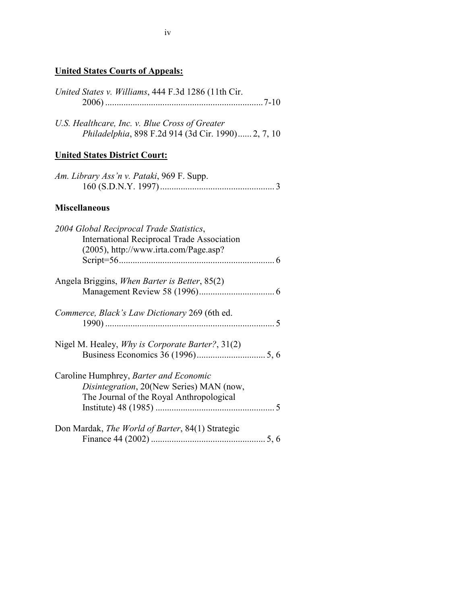## United States Courts of Appeals:

| United States v. Williams, 444 F.3d 1286 (11th Cir.                                                                                    |
|----------------------------------------------------------------------------------------------------------------------------------------|
| U.S. Healthcare, Inc. v. Blue Cross of Greater<br>Philadelphia, 898 F.2d 914 (3d Cir. 1990) 2, 7, 10                                   |
| <b>United States District Court:</b>                                                                                                   |
| Am. Library Ass'n v. Pataki, 969 F. Supp.                                                                                              |
| <b>Miscellaneous</b>                                                                                                                   |
| 2004 Global Reciprocal Trade Statistics,<br><b>International Reciprocal Trade Association</b><br>(2005), http://www.irta.com/Page.asp? |
| Angela Briggins, When Barter is Better, 85(2)                                                                                          |
| Commerce, Black's Law Dictionary 269 (6th ed.                                                                                          |
| Nigel M. Healey, <i>Why is Corporate Barter</i> ?, 31(2)                                                                               |
| Caroline Humphrey, Barter and Economic<br>Disintegration, 20(New Series) MAN (now,<br>The Journal of the Royal Anthropological         |
| Don Mardak, The World of Barter, 84(1) Strategic                                                                                       |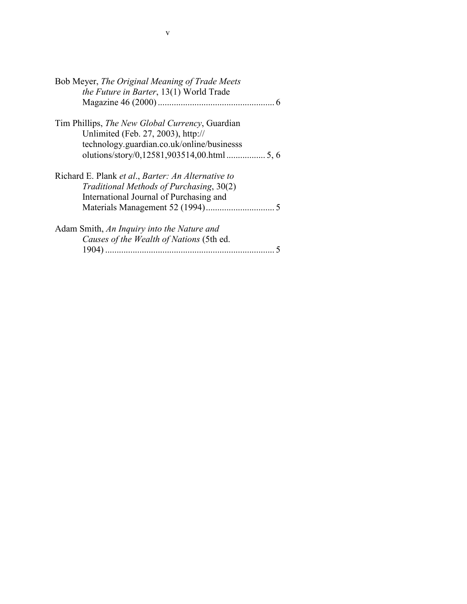| Bob Meyer, The Original Meaning of Trade Meets<br>the Future in Barter, 13(1) World Trade |  |  |
|-------------------------------------------------------------------------------------------|--|--|
|                                                                                           |  |  |
| Tim Phillips, <i>The New Global Currency</i> , Guardian                                   |  |  |
| Unlimited (Feb. 27, 2003), http://                                                        |  |  |
| technology.guardian.co.uk/online/businesss                                                |  |  |
|                                                                                           |  |  |
| Richard E. Plank et al., Barter: An Alternative to                                        |  |  |
| Traditional Methods of Purchasing, 30(2)                                                  |  |  |
| International Journal of Purchasing and                                                   |  |  |
|                                                                                           |  |  |
| Adam Smith, An Inquiry into the Nature and                                                |  |  |
| Causes of the Wealth of Nations (5th ed.                                                  |  |  |
|                                                                                           |  |  |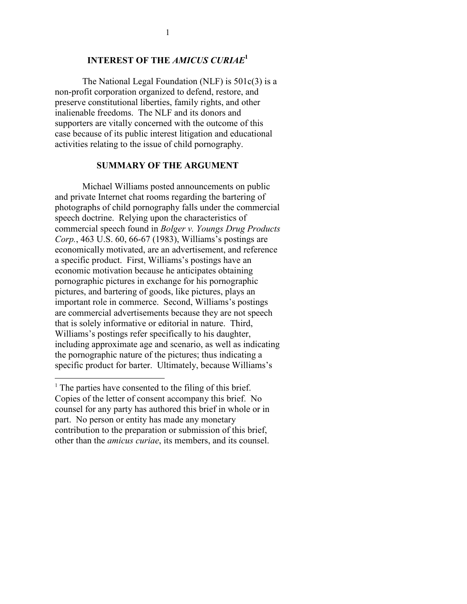### INTEREST OF THE AMICUS CURIAE<sup>1</sup>

The National Legal Foundation (NLF) is 501c(3) is a non-profit corporation organized to defend, restore, and preserve constitutional liberties, family rights, and other inalienable freedoms. The NLF and its donors and supporters are vitally concerned with the outcome of this case because of its public interest litigation and educational activities relating to the issue of child pornography.

#### SUMMARY OF THE ARGUMENT

 Michael Williams posted announcements on public and private Internet chat rooms regarding the bartering of photographs of child pornography falls under the commercial speech doctrine. Relying upon the characteristics of commercial speech found in Bolger v. Youngs Drug Products Corp., 463 U.S. 60, 66-67 (1983), Williams's postings are economically motivated, are an advertisement, and reference a specific product. First, Williams's postings have an economic motivation because he anticipates obtaining pornographic pictures in exchange for his pornographic pictures, and bartering of goods, like pictures, plays an important role in commerce. Second, Williams's postings are commercial advertisements because they are not speech that is solely informative or editorial in nature. Third, Williams's postings refer specifically to his daughter, including approximate age and scenario, as well as indicating the pornographic nature of the pictures; thus indicating a specific product for barter. Ultimately, because Williams's

<u>.</u>

<sup>&</sup>lt;sup>1</sup> The parties have consented to the filing of this brief. Copies of the letter of consent accompany this brief. No counsel for any party has authored this brief in whole or in part. No person or entity has made any monetary contribution to the preparation or submission of this brief, other than the amicus curiae, its members, and its counsel.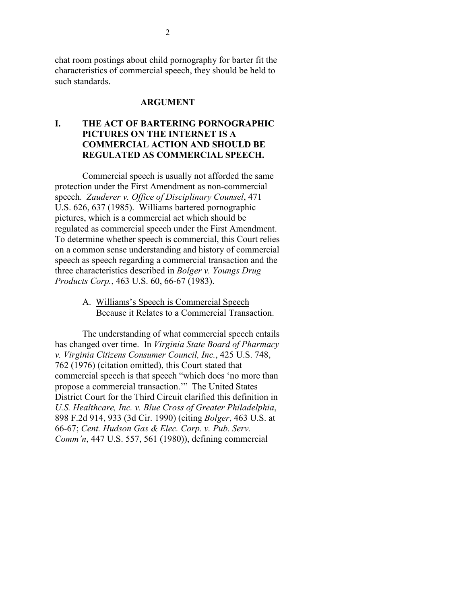chat room postings about child pornography for barter fit the characteristics of commercial speech, they should be held to such standards.

### ARGUMENT

### I. THE ACT OF BARTERING PORNOGRAPHIC PICTURES ON THE INTERNET IS A COMMERCIAL ACTION AND SHOULD BE REGULATED AS COMMERCIAL SPEECH.

Commercial speech is usually not afforded the same protection under the First Amendment as non-commercial speech. Zauderer v. Office of Disciplinary Counsel, 471 U.S. 626, 637 (1985). Williams bartered pornographic pictures, which is a commercial act which should be regulated as commercial speech under the First Amendment. To determine whether speech is commercial, this Court relies on a common sense understanding and history of commercial speech as speech regarding a commercial transaction and the three characteristics described in Bolger v. Youngs Drug Products Corp., 463 U.S. 60, 66-67 (1983).

> A. Williams's Speech is Commercial Speech Because it Relates to a Commercial Transaction.

The understanding of what commercial speech entails has changed over time. In Virginia State Board of Pharmacy v. Virginia Citizens Consumer Council, Inc., 425 U.S. 748, 762 (1976) (citation omitted), this Court stated that commercial speech is that speech "which does 'no more than propose a commercial transaction.'" The United States District Court for the Third Circuit clarified this definition in U.S. Healthcare, Inc. v. Blue Cross of Greater Philadelphia, 898 F.2d 914, 933 (3d Cir. 1990) (citing Bolger, 463 U.S. at 66-67; Cent. Hudson Gas & Elec. Corp. v. Pub. Serv. Comm'n, 447 U.S. 557, 561 (1980)), defining commercial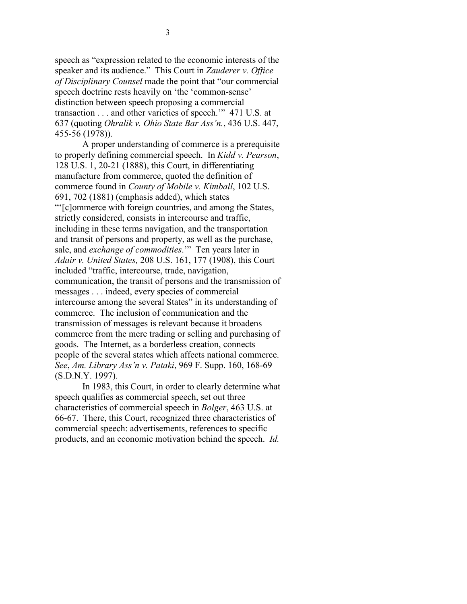speech as "expression related to the economic interests of the speaker and its audience." This Court in Zauderer v. Office of Disciplinary Counsel made the point that "our commercial speech doctrine rests heavily on 'the 'common-sense' distinction between speech proposing a commercial transaction . . . and other varieties of speech.'" 471 U.S. at 637 (quoting Ohralik v. Ohio State Bar Ass'n., 436 U.S. 447, 455-56 (1978)).

A proper understanding of commerce is a prerequisite to properly defining commercial speech. In Kidd v. Pearson, 128 U.S. 1, 20-21 (1888), this Court, in differentiating manufacture from commerce, quoted the definition of commerce found in County of Mobile v. Kimball, 102 U.S. 691, 702 (1881) (emphasis added), which states "'[c]ommerce with foreign countries, and among the States, strictly considered, consists in intercourse and traffic, including in these terms navigation, and the transportation and transit of persons and property, as well as the purchase, sale, and exchange of commodities." Ten years later in Adair v. United States, 208 U.S. 161, 177 (1908), this Court included "traffic, intercourse, trade, navigation, communication, the transit of persons and the transmission of messages . . . indeed, every species of commercial intercourse among the several States" in its understanding of commerce. The inclusion of communication and the transmission of messages is relevant because it broadens commerce from the mere trading or selling and purchasing of goods. The Internet, as a borderless creation, connects people of the several states which affects national commerce. See, Am. Library Ass'n v. Pataki, 969 F. Supp. 160, 168-69 (S.D.N.Y. 1997).

In 1983, this Court, in order to clearly determine what speech qualifies as commercial speech, set out three characteristics of commercial speech in Bolger, 463 U.S. at 66-67. There, this Court, recognized three characteristics of commercial speech: advertisements, references to specific products, and an economic motivation behind the speech. Id.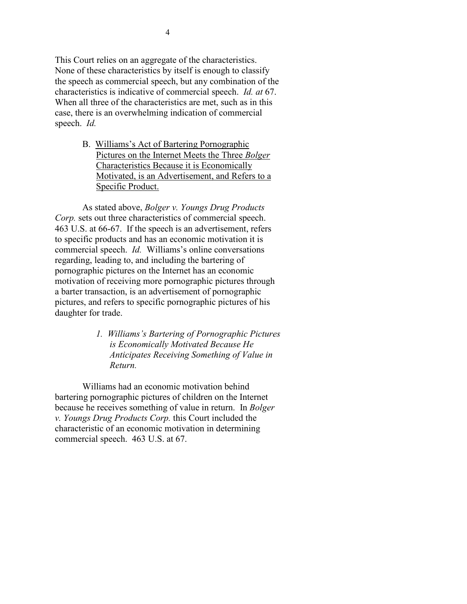This Court relies on an aggregate of the characteristics. None of these characteristics by itself is enough to classify the speech as commercial speech, but any combination of the characteristics is indicative of commercial speech. Id. at 67. When all three of the characteristics are met, such as in this case, there is an overwhelming indication of commercial speech. Id.

> B. Williams's Act of Bartering Pornographic Pictures on the Internet Meets the Three Bolger Characteristics Because it is Economically Motivated, is an Advertisement, and Refers to a Specific Product.

As stated above, Bolger v. Youngs Drug Products Corp. sets out three characteristics of commercial speech. 463 U.S. at 66-67. If the speech is an advertisement, refers to specific products and has an economic motivation it is commercial speech. Id. Williams's online conversations regarding, leading to, and including the bartering of pornographic pictures on the Internet has an economic motivation of receiving more pornographic pictures through a barter transaction, is an advertisement of pornographic pictures, and refers to specific pornographic pictures of his daughter for trade.

> 1. Williams's Bartering of Pornographic Pictures is Economically Motivated Because He Anticipates Receiving Something of Value in Return.

Williams had an economic motivation behind bartering pornographic pictures of children on the Internet because he receives something of value in return. In Bolger v. Youngs Drug Products Corp. this Court included the characteristic of an economic motivation in determining commercial speech. 463 U.S. at 67.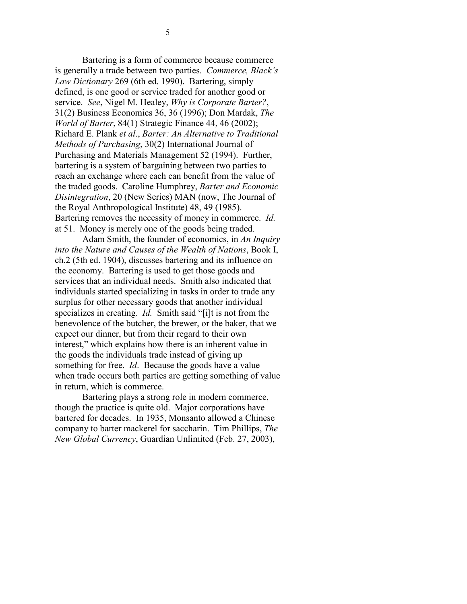Bartering is a form of commerce because commerce is generally a trade between two parties. Commerce, Black's Law Dictionary 269 (6th ed. 1990). Bartering, simply defined, is one good or service traded for another good or service. See, Nigel M. Healey, Why is Corporate Barter?, 31(2) Business Economics 36, 36 (1996); Don Mardak, The World of Barter, 84(1) Strategic Finance 44, 46 (2002); Richard E. Plank et al., Barter: An Alternative to Traditional Methods of Purchasing, 30(2) International Journal of Purchasing and Materials Management 52 (1994). Further, bartering is a system of bargaining between two parties to reach an exchange where each can benefit from the value of the traded goods. Caroline Humphrey, Barter and Economic Disintegration, 20 (New Series) MAN (now, The Journal of the Royal Anthropological Institute) 48, 49 (1985). Bartering removes the necessity of money in commerce. Id. at 51. Money is merely one of the goods being traded.

Adam Smith, the founder of economics, in An Inquiry into the Nature and Causes of the Wealth of Nations, Book I, ch.2 (5th ed. 1904), discusses bartering and its influence on the economy. Bartering is used to get those goods and services that an individual needs. Smith also indicated that individuals started specializing in tasks in order to trade any surplus for other necessary goods that another individual specializes in creating. *Id.* Smith said "[i]t is not from the benevolence of the butcher, the brewer, or the baker, that we expect our dinner, but from their regard to their own interest," which explains how there is an inherent value in the goods the individuals trade instead of giving up something for free. *Id*. Because the goods have a value when trade occurs both parties are getting something of value in return, which is commerce.

Bartering plays a strong role in modern commerce, though the practice is quite old. Major corporations have bartered for decades. In 1935, Monsanto allowed a Chinese company to barter mackerel for saccharin. Tim Phillips, The New Global Currency, Guardian Unlimited (Feb. 27, 2003),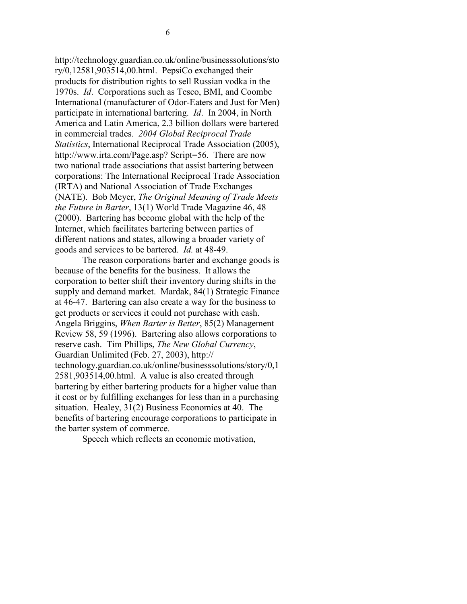http://technology.guardian.co.uk/online/businesssolutions/sto ry/0,12581,903514,00.html. PepsiCo exchanged their products for distribution rights to sell Russian vodka in the 1970s. Id. Corporations such as Tesco, BMI, and Coombe International (manufacturer of Odor-Eaters and Just for Men) participate in international bartering. Id. In 2004, in North America and Latin America, 2.3 billion dollars were bartered in commercial trades. 2004 Global Reciprocal Trade Statistics, International Reciprocal Trade Association (2005), http://www.irta.com/Page.asp? Script=56. There are now two national trade associations that assist bartering between corporations: The International Reciprocal Trade Association (IRTA) and National Association of Trade Exchanges (NATE). Bob Meyer, The Original Meaning of Trade Meets the Future in Barter, 13(1) World Trade Magazine 46, 48 (2000). Bartering has become global with the help of the Internet, which facilitates bartering between parties of different nations and states, allowing a broader variety of goods and services to be bartered. Id. at 48-49.

The reason corporations barter and exchange goods is because of the benefits for the business. It allows the corporation to better shift their inventory during shifts in the supply and demand market. Mardak, 84(1) Strategic Finance at 46-47. Bartering can also create a way for the business to get products or services it could not purchase with cash. Angela Briggins, When Barter is Better, 85(2) Management Review 58, 59 (1996). Bartering also allows corporations to reserve cash. Tim Phillips, The New Global Currency, Guardian Unlimited (Feb. 27, 2003), http:// technology.guardian.co.uk/online/businesssolutions/story/0,1 2581,903514,00.html. A value is also created through bartering by either bartering products for a higher value than it cost or by fulfilling exchanges for less than in a purchasing situation. Healey, 31(2) Business Economics at 40. The benefits of bartering encourage corporations to participate in the barter system of commerce.

Speech which reflects an economic motivation,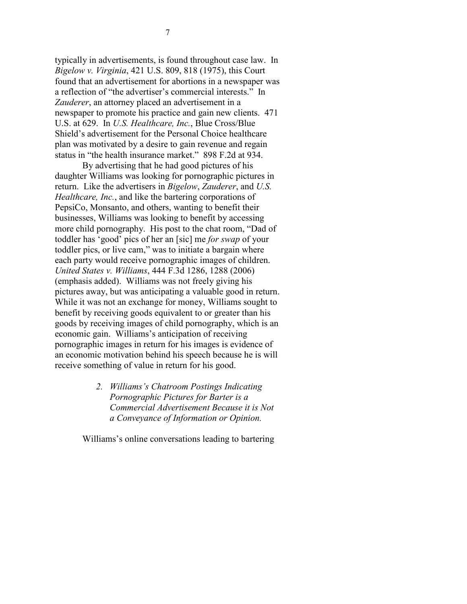typically in advertisements, is found throughout case law. In Bigelow v. Virginia, 421 U.S. 809, 818 (1975), this Court found that an advertisement for abortions in a newspaper was a reflection of "the advertiser's commercial interests." In Zauderer, an attorney placed an advertisement in a newspaper to promote his practice and gain new clients. 471 U.S. at 629. In U.S. Healthcare, Inc., Blue Cross/Blue Shield's advertisement for the Personal Choice healthcare plan was motivated by a desire to gain revenue and regain status in "the health insurance market." 898 F.2d at 934.

By advertising that he had good pictures of his daughter Williams was looking for pornographic pictures in return. Like the advertisers in Bigelow, Zauderer, and U.S. Healthcare, Inc., and like the bartering corporations of PepsiCo, Monsanto, and others, wanting to benefit their businesses, Williams was looking to benefit by accessing more child pornography. His post to the chat room, "Dad of toddler has 'good' pics of her an [sic] me for swap of your toddler pics, or live cam," was to initiate a bargain where each party would receive pornographic images of children. United States v. Williams, 444 F.3d 1286, 1288 (2006) (emphasis added). Williams was not freely giving his pictures away, but was anticipating a valuable good in return. While it was not an exchange for money, Williams sought to benefit by receiving goods equivalent to or greater than his goods by receiving images of child pornography, which is an economic gain. Williams's anticipation of receiving pornographic images in return for his images is evidence of an economic motivation behind his speech because he is will receive something of value in return for his good.

> 2. Williams's Chatroom Postings Indicating Pornographic Pictures for Barter is a Commercial Advertisement Because it is Not a Conveyance of Information or Opinion.

Williams's online conversations leading to bartering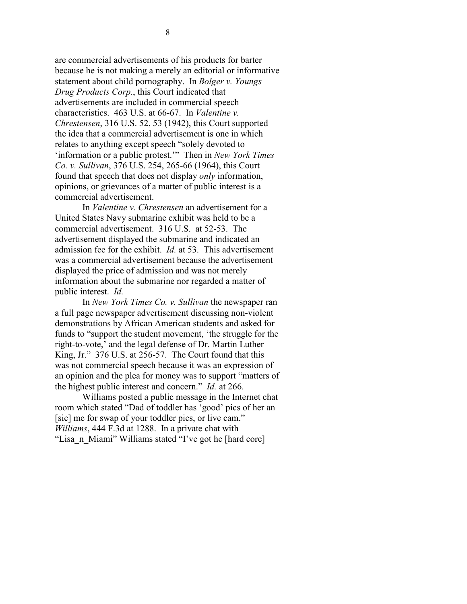are commercial advertisements of his products for barter because he is not making a merely an editorial or informative statement about child pornography. In Bolger v. Youngs Drug Products Corp., this Court indicated that advertisements are included in commercial speech characteristics. 463 U.S. at 66-67. In Valentine v. Chrestensen, 316 U.S. 52, 53 (1942), this Court supported the idea that a commercial advertisement is one in which relates to anything except speech "solely devoted to 'information or a public protest.'" Then in New York Times Co. v. Sullivan, 376 U.S. 254, 265-66 (1964), this Court found that speech that does not display only information, opinions, or grievances of a matter of public interest is a commercial advertisement.

In *Valentine v. Chrestensen* an advertisement for a United States Navy submarine exhibit was held to be a commercial advertisement. 316 U.S. at 52-53. The advertisement displayed the submarine and indicated an admission fee for the exhibit. Id. at 53. This advertisement was a commercial advertisement because the advertisement displayed the price of admission and was not merely information about the submarine nor regarded a matter of public interest. Id.

In New York Times Co. v. Sullivan the newspaper ran a full page newspaper advertisement discussing non-violent demonstrations by African American students and asked for funds to "support the student movement, 'the struggle for the right-to-vote,' and the legal defense of Dr. Martin Luther King, Jr." 376 U.S. at 256-57. The Court found that this was not commercial speech because it was an expression of an opinion and the plea for money was to support "matters of the highest public interest and concern." Id. at 266.

Williams posted a public message in the Internet chat room which stated "Dad of toddler has 'good' pics of her an [sic] me for swap of your toddler pics, or live cam." Williams, 444 F.3d at 1288. In a private chat with "Lisa n Miami" Williams stated "I've got hc [hard core]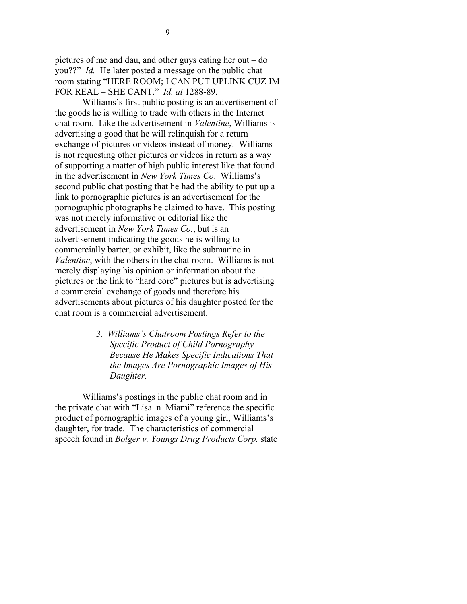pictures of me and dau, and other guys eating her out – do you??" Id. He later posted a message on the public chat room stating "HERE ROOM; I CAN PUT UPLINK CUZ IM FOR REAL – SHE CANT." Id. at 1288-89.

Williams's first public posting is an advertisement of the goods he is willing to trade with others in the Internet chat room. Like the advertisement in Valentine, Williams is advertising a good that he will relinquish for a return exchange of pictures or videos instead of money. Williams is not requesting other pictures or videos in return as a way of supporting a matter of high public interest like that found in the advertisement in New York Times Co. Williams's second public chat posting that he had the ability to put up a link to pornographic pictures is an advertisement for the pornographic photographs he claimed to have. This posting was not merely informative or editorial like the advertisement in New York Times Co., but is an advertisement indicating the goods he is willing to commercially barter, or exhibit, like the submarine in Valentine, with the others in the chat room. Williams is not merely displaying his opinion or information about the pictures or the link to "hard core" pictures but is advertising a commercial exchange of goods and therefore his advertisements about pictures of his daughter posted for the chat room is a commercial advertisement.

> 3. Williams's Chatroom Postings Refer to the Specific Product of Child Pornography Because He Makes Specific Indications That the Images Are Pornographic Images of His Daughter.

Williams's postings in the public chat room and in the private chat with "Lisa\_n\_Miami" reference the specific product of pornographic images of a young girl, Williams's daughter, for trade. The characteristics of commercial speech found in Bolger v. Youngs Drug Products Corp. state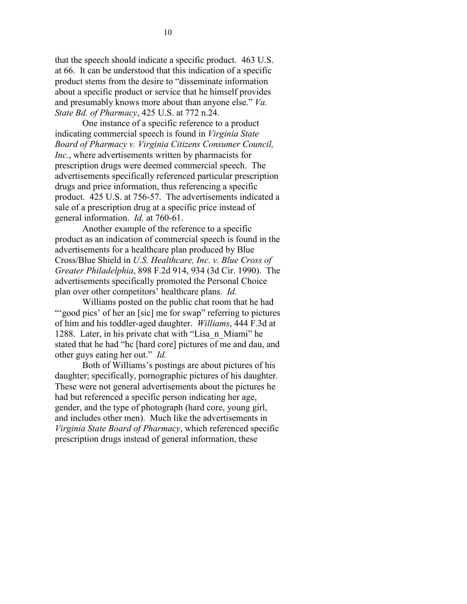that the speech should indicate a specific product. 463 U.S. at 66. It can be understood that this indication of a specific product stems from the desire to "disseminate information about a specific product or service that he himself provides and presumably knows more about than anyone else." Va. State Bd. of Pharmacy, 425 U.S. at 772 n.24.

One instance of a specific reference to a product indicating commercial speech is found in *Virginia State* Board of Pharmacy v. Virginia Citizens Consumer Council, Inc., where advertisements written by pharmacists for prescription drugs were deemed commercial speech. The advertisements specifically referenced particular prescription drugs and price information, thus referencing a specific product. 425 U.S. at 756-57. The advertisements indicated a sale of a prescription drug at a specific price instead of general information. Id. at 760-61.

Another example of the reference to a specific product as an indication of commercial speech is found in the advertisements for a healthcare plan produced by Blue Cross/Blue Shield in U.S. Healthcare, Inc. v. Blue Cross of Greater Philadelphia, 898 F.2d 914, 934 (3d Cir. 1990). The advertisements specifically promoted the Personal Choice plan over other competitors' healthcare plans. Id.

Williams posted on the public chat room that he had "" good pics' of her an [sic] me for swap" referring to pictures of him and his toddler-aged daughter. Williams, 444 F.3d at 1288. Later, in his private chat with "Lisa\_n\_Miami" he stated that he had "hc [hard core] pictures of me and dau, and other guys eating her out." Id.

Both of Williams's postings are about pictures of his daughter; specifically, pornographic pictures of his daughter. These were not general advertisements about the pictures he had but referenced a specific person indicating her age, gender, and the type of photograph (hard core, young girl, and includes other men). Much like the advertisements in Virginia State Board of Pharmacy, which referenced specific prescription drugs instead of general information, these